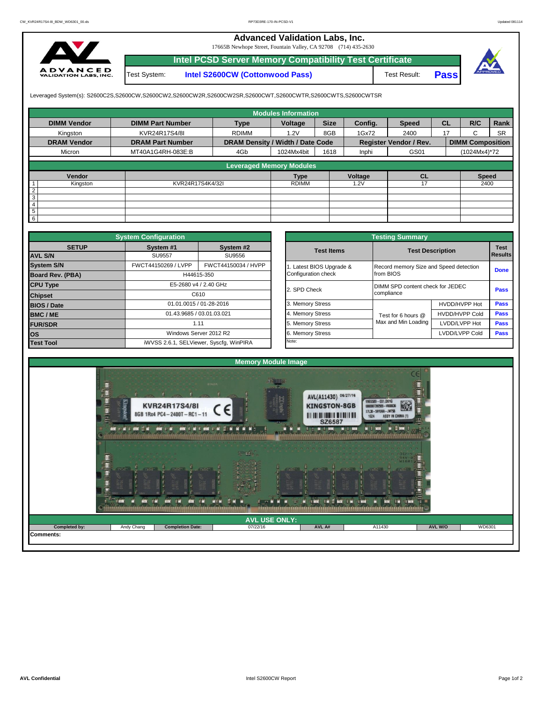## **Advanced Validation Labs, Inc.**

17665B Newhope Street, Fountain Valley, CA 92708 (714) 435-2630



**Intel PCSD Server Memory Compatibility Test Certificate** Test System: **Intel S2600CW (Cottonwood Pass)**

Test Result: **Pass**



Leveraged System(s): S2600C2S,S2600CW,S2600CW2,S2600CW2R,S2600CW2SR,S2600CWT,S2600CWTR,S2600CWTS,S2600CWTSR

|                    |                         |                                  | <b>Modules Information</b> |             |         |                               |           |                         |           |
|--------------------|-------------------------|----------------------------------|----------------------------|-------------|---------|-------------------------------|-----------|-------------------------|-----------|
| <b>DIMM Vendor</b> | <b>DIMM Part Number</b> | <b>Type</b>                      | Voltage                    | <b>Size</b> | Config. | <b>Speed</b>                  | <b>CL</b> | R/C                     | Rank      |
| Kingston           | KVR24R17S4/8I           | <b>RDIMM</b>                     | 1.2V                       | 8GB         | 1Gx72   | 2400                          | 17        | $\sim$<br>ι.            | <b>SR</b> |
| <b>DRAM Vendor</b> | <b>DRAM Part Number</b> | DRAM Density / Width / Date Code |                            |             |         | <b>Register Vendor / Rev.</b> |           | <b>DIMM Composition</b> |           |
| Micron             | MT40A1G4RH-083E:B       | 4Gb                              | 1024Mx4bit                 | 1618        | Inphi   | GS01                          |           | (1024Mx4)*72            |           |
|                    |                         |                                  |                            |             |         |                               |           |                         |           |
|                    |                         | <b>Leveraged Memory Modules</b>  |                            |             |         |                               |           |                         |           |
| Vendor             |                         |                                  | <b>Type</b>                |             | Voltage | <b>CL</b>                     |           | <b>Speed</b>            |           |
| Kingston           | KVR24R17S4K4/32I        |                                  | <b>RDIMM</b>               |             | .2V     |                               |           | 2400                    |           |
| $\overline{2}$     |                         |                                  |                            |             |         |                               |           |                         |           |
| 3                  |                         |                                  |                            |             |         |                               |           |                         |           |
| 4                  |                         |                                  |                            |             |         |                               |           |                         |           |
| 5                  |                         |                                  |                            |             |         |                               |           |                         |           |
| 6                  |                         |                                  |                            |             |         |                               |           |                         |           |

|                         | <b>System Configuration</b> |                                         |                       | <b>Testing Summary</b>                 |                         |             |
|-------------------------|-----------------------------|-----------------------------------------|-----------------------|----------------------------------------|-------------------------|-------------|
| <b>SETUP</b>            | System #1                   | System #2                               | <b>Test Items</b>     |                                        | <b>Test Description</b> | <b>Test</b> |
| <b>AVL S/N</b>          | <b>SU9557</b>               | SU9556                                  |                       |                                        |                         | Results     |
| <b>System S/N</b>       | FWCT44150269 / LVPP         | FWCT44150034 / HVPP                     | Latest BIOS Upgrade & | Record memory Size and Speed detection |                         | <b>Done</b> |
| <b>Board Rev. (PBA)</b> |                             | H44615-350                              | Configuration check   | from BIOS                              |                         |             |
| <b>CPU Type</b>         |                             | E5-2680 v4 / 2.40 GHz                   | 2. SPD Check          | DIMM SPD content check for JEDEC       |                         | <b>Pass</b> |
| <b>Chipset</b>          |                             | C610                                    |                       | compliance                             |                         |             |
| <b>BIOS / Date</b>      |                             | 01.01.0015 / 01-28-2016                 | 3. Memory Stress      |                                        | HVDD/HVPP Hot           | <b>Pass</b> |
| <b>BMC/ME</b>           |                             | 01.43.9685 / 03.01.03.021               | 4. Memory Stress      | Test for 6 hours @                     | <b>HVDD/HVPP Cold</b>   | Pass        |
| <b>FUR/SDR</b>          |                             | 1.11                                    | 5. Memory Stress      | Max and Min Loading                    | LVDD/LVPP Hot           | <b>Pass</b> |
| <b>los</b>              |                             | Windows Server 2012 R2                  | 6. Memory Stress      |                                        | LVDD/LVPP Cold          | Pass        |
| <b>Test Tool</b>        |                             | iWVSS 2.6.1, SELViewer, Syscfg, WinPIRA | Note:                 |                                        |                         |             |

|              | <b>System Configuration</b> | <b>Testing Summary</b>                  |                       |                                        |                       |                |  |  |  |
|--------------|-----------------------------|-----------------------------------------|-----------------------|----------------------------------------|-----------------------|----------------|--|--|--|
| <b>SETUP</b> | System #1                   | System #2                               | <b>Test Items</b>     | <b>Test Description</b>                |                       | <b>Test</b>    |  |  |  |
|              | <b>SU9557</b>               | SU9556                                  |                       |                                        |                       | <b>Results</b> |  |  |  |
|              | FWCT44150269 / LVPP         | FWCT44150034 / HVPP                     | Latest BIOS Upgrade & | Record memory Size and Speed detection |                       | <b>Done</b>    |  |  |  |
| PBA)         |                             | H44615-350                              |                       | from BIOS                              |                       |                |  |  |  |
|              |                             | E5-2680 v4 / 2.40 GHz                   | 2. SPD Check          | DIMM SPD content check for JEDEC       |                       |                |  |  |  |
|              |                             | C610                                    |                       | compliance                             |                       | <b>Pass</b>    |  |  |  |
|              |                             | 01.01.0015 / 01-28-2016                 | 3. Memory Stress      |                                        | HVDD/HVPP Hot         | Pass           |  |  |  |
|              | 01.43.9685 / 03.01.03.021   |                                         | 4. Memory Stress      | Test for 6 hours @                     | <b>HVDD/HVPP Cold</b> | Pass           |  |  |  |
|              |                             | 1.11                                    | 5. Memory Stress      | Max and Min Loading                    | LVDD/LVPP Hot         | Pass           |  |  |  |
|              |                             | Windows Server 2012 R2                  | 6. Memory Stress      |                                        | LVDD/LVPP Cold        | Pass           |  |  |  |
|              |                             | iWVSS 2.6.1, SELViewer, Syscfq, WinPIRA | Note:                 |                                        |                       |                |  |  |  |

|                  |                              |                                                                                                     | <b>Memory Module Image</b> |                                                                                                                       |                                                                                           |         |        |
|------------------|------------------------------|-----------------------------------------------------------------------------------------------------|----------------------------|-----------------------------------------------------------------------------------------------------------------------|-------------------------------------------------------------------------------------------|---------|--------|
|                  | King<br><b>MY FAIL MY TA</b> | <b>ITNZA</b><br>KVR24R17S4/8I<br>8GB 1Rx4 PC4-2400T-RC1-11<br><b>MAK</b> = M = MAK<br><b>MY THE</b> |                            | AVL(A11430) 06/27/16<br><b>KINGSTON-8GB</b><br>THE THE REGIONAL MILITARY AND<br><b>SZ6587</b><br><b>INTERNATIONAL</b> | $10 - 10$<br>9965589-031.001G<br>X7L30 - 59YUKA - JW75<br>1624<br><b>ASSY IN I</b><br>M B |         |        |
|                  |                              | mм                                                                                                  | $5 - 16$                   | <b>BATTLE</b><br>$= 100$                                                                                              |                                                                                           |         |        |
|                  |                              |                                                                                                     | <b>AVL USE ONLY:</b>       |                                                                                                                       |                                                                                           |         |        |
| Completed by:    | Andy Chang                   | <b>Completion Date:</b>                                                                             | 07/22/16                   | AVL A#                                                                                                                | A11430                                                                                    | AVL W/O | WD6301 |
| <b>Comments:</b> |                              |                                                                                                     |                            |                                                                                                                       |                                                                                           |         |        |